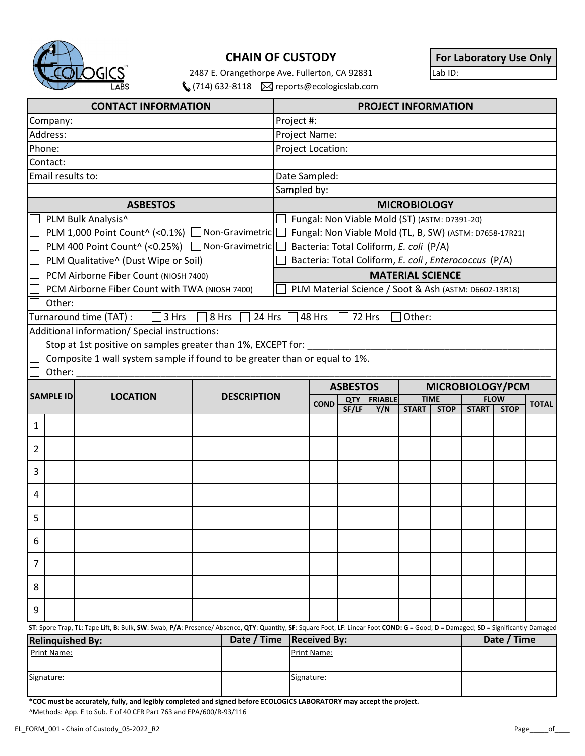

## **CHAIN OF CUSTODY**

2487 E. Orangethorpe Ave. Fullerton, CA 92831  $(714)$  632-8118  $\boxtimes$  reports@ecologicslab.com **For Laboratory Use Only**

| <b>CONTACT INFORMATION</b>                                                        |                                                                            |  | <b>PROJECT INFORMATION</b> |                                                                                                                                                                                   |  |                                             |       |     |              |                                            |              |             |  |
|-----------------------------------------------------------------------------------|----------------------------------------------------------------------------|--|----------------------------|-----------------------------------------------------------------------------------------------------------------------------------------------------------------------------------|--|---------------------------------------------|-------|-----|--------------|--------------------------------------------|--------------|-------------|--|
| Company:                                                                          |                                                                            |  |                            | Project #:                                                                                                                                                                        |  |                                             |       |     |              |                                            |              |             |  |
| Address:                                                                          |                                                                            |  |                            | Project Name:                                                                                                                                                                     |  |                                             |       |     |              |                                            |              |             |  |
| Phone:                                                                            |                                                                            |  |                            | Project Location:                                                                                                                                                                 |  |                                             |       |     |              |                                            |              |             |  |
| Contact:                                                                          |                                                                            |  |                            |                                                                                                                                                                                   |  |                                             |       |     |              |                                            |              |             |  |
| Email results to:                                                                 |                                                                            |  |                            | Date Sampled:                                                                                                                                                                     |  |                                             |       |     |              |                                            |              |             |  |
|                                                                                   |                                                                            |  |                            | Sampled by:                                                                                                                                                                       |  |                                             |       |     |              |                                            |              |             |  |
| <b>ASBESTOS</b>                                                                   |                                                                            |  |                            | <b>MICROBIOLOGY</b>                                                                                                                                                               |  |                                             |       |     |              |                                            |              |             |  |
| PLM Bulk Analysis^                                                                |                                                                            |  |                            | Fungal: Non Viable Mold (ST) (ASTM: D7391-20)                                                                                                                                     |  |                                             |       |     |              |                                            |              |             |  |
| PLM 1,000 Point Count^ (<0.1%) Non-Gravimetric                                    |                                                                            |  |                            | Fungal: Non Viable Mold (TL, B, SW) (ASTM: D7658-17R21)                                                                                                                           |  |                                             |       |     |              |                                            |              |             |  |
| PLM 400 Point Count^ (<0.25%) Non-Gravimetric                                     |                                                                            |  |                            | Bacteria: Total Coliform, E. coli (P/A)                                                                                                                                           |  |                                             |       |     |              |                                            |              |             |  |
| PLM Qualitative^ (Dust Wipe or Soil)                                              |                                                                            |  |                            | Bacteria: Total Coliform, E. coli, Enterococcus (P/A)                                                                                                                             |  |                                             |       |     |              |                                            |              |             |  |
|                                                                                   | PCM Airborne Fiber Count (NIOSH 7400)                                      |  |                            |                                                                                                                                                                                   |  |                                             |       |     |              | <b>MATERIAL SCIENCE</b>                    |              |             |  |
|                                                                                   | PCM Airborne Fiber Count with TWA (NIOSH 7400)                             |  |                            | PLM Material Science / Soot & Ash (ASTM: D6602-13R18)                                                                                                                             |  |                                             |       |     |              |                                            |              |             |  |
| Other:                                                                            |                                                                            |  |                            |                                                                                                                                                                                   |  |                                             |       |     |              |                                            |              |             |  |
| Turnaround time (TAT) :<br>3 Hrs<br>48 Hrs<br>Other:<br>8 Hrs<br>24 Hrs<br>72 Hrs |                                                                            |  |                            |                                                                                                                                                                                   |  |                                             |       |     |              |                                            |              |             |  |
|                                                                                   | Additional information/ Special instructions:                              |  |                            |                                                                                                                                                                                   |  |                                             |       |     |              |                                            |              |             |  |
|                                                                                   | Stop at 1st positive on samples greater than 1%, EXCEPT for:               |  |                            |                                                                                                                                                                                   |  |                                             |       |     |              |                                            |              |             |  |
|                                                                                   | Composite 1 wall system sample if found to be greater than or equal to 1%. |  |                            |                                                                                                                                                                                   |  |                                             |       |     |              |                                            |              |             |  |
| Other:                                                                            |                                                                            |  |                            |                                                                                                                                                                                   |  |                                             |       |     |              |                                            |              |             |  |
|                                                                                   |                                                                            |  |                            | MICROBIOLOGY/PCM<br><b>ASBESTOS</b>                                                                                                                                               |  |                                             |       |     |              |                                            |              |             |  |
| <b>SAMPLE ID</b>                                                                  | <b>LOCATION</b>                                                            |  | <b>DESCRIPTION</b>         |                                                                                                                                                                                   |  | <b>FRIABLE</b><br><b>QTY</b><br><b>COND</b> |       |     |              | <b>TIME</b><br><b>FLOW</b><br><b>TOTAL</b> |              |             |  |
|                                                                                   |                                                                            |  |                            |                                                                                                                                                                                   |  |                                             | SF/LF | Y/N | <b>START</b> | <b>STOP</b>                                | <b>START</b> | <b>STOP</b> |  |
| 1                                                                                 |                                                                            |  |                            |                                                                                                                                                                                   |  |                                             |       |     |              |                                            |              |             |  |
|                                                                                   |                                                                            |  |                            |                                                                                                                                                                                   |  |                                             |       |     |              |                                            |              |             |  |
| 2                                                                                 |                                                                            |  |                            |                                                                                                                                                                                   |  |                                             |       |     |              |                                            |              |             |  |
| 3                                                                                 |                                                                            |  |                            |                                                                                                                                                                                   |  |                                             |       |     |              |                                            |              |             |  |
| 4                                                                                 |                                                                            |  |                            |                                                                                                                                                                                   |  |                                             |       |     |              |                                            |              |             |  |
|                                                                                   |                                                                            |  |                            |                                                                                                                                                                                   |  |                                             |       |     |              |                                            |              |             |  |
| 5                                                                                 |                                                                            |  |                            |                                                                                                                                                                                   |  |                                             |       |     |              |                                            |              |             |  |
| 6                                                                                 |                                                                            |  |                            |                                                                                                                                                                                   |  |                                             |       |     |              |                                            |              |             |  |
| 7                                                                                 |                                                                            |  |                            |                                                                                                                                                                                   |  |                                             |       |     |              |                                            |              |             |  |
| 8                                                                                 |                                                                            |  |                            |                                                                                                                                                                                   |  |                                             |       |     |              |                                            |              |             |  |
|                                                                                   |                                                                            |  |                            |                                                                                                                                                                                   |  |                                             |       |     |              |                                            |              |             |  |
| 9                                                                                 |                                                                            |  |                            |                                                                                                                                                                                   |  |                                             |       |     |              |                                            |              |             |  |
|                                                                                   |                                                                            |  |                            | ST: Spore Trap, TL: Tape Lift, B: Bulk, SW: Swab, P/A: Presence/ Absence, QTY: Quantity, SF: Square Foot, LF: Linear Foot COND: G = Good; D = Damaged; SD = Significantly Damaged |  |                                             |       |     |              |                                            |              |             |  |
| Date / Time<br><b>Relinquished By:</b>                                            |                                                                            |  |                            | <b>Received By:</b>                                                                                                                                                               |  |                                             |       |     |              |                                            | Date / Time  |             |  |
| Print Name:                                                                       |                                                                            |  |                            | Print Name:                                                                                                                                                                       |  |                                             |       |     |              |                                            |              |             |  |
|                                                                                   |                                                                            |  |                            |                                                                                                                                                                                   |  |                                             |       |     |              |                                            |              |             |  |
| Signature:                                                                        |                                                                            |  |                            | Signature:                                                                                                                                                                        |  |                                             |       |     |              |                                            |              |             |  |

**\*COC must be accurately, fully, and legibly completed and signed before ECOLOGICS LABORATORY may accept the project.** ^Methods: App. E to Sub. E of 40 CFR Part 763 and EPA/600/R-93/116